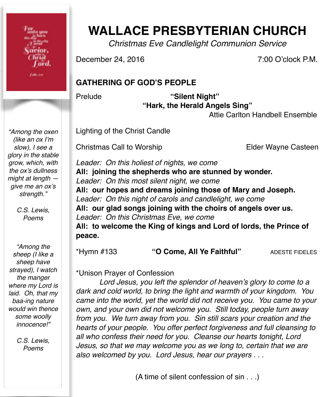or<br>imfo you acior. hrist l ord.

**Fake and** 

**WALLACE PRESBYTERIAN CHURCH**

*Christmas Eve Candlelight Communion Service*

December 24, 2016 **1998** 7:00 O'clock P.M.

## **GATHERING OF GOD'S PEOPLE**

Prelude **"Silent Night" "Hark, the Herald Angels Sing"** 

Attie Carlton Handbell Ensemble

Lighting of the Christ Candle

Christmas Call to Worship **1988** Elder Wayne Casteen

*Leader: On this holiest of nights, we come* **All: joining the shepherds who are stunned by wonder.** *Leader: On this most silent night, we come* **All: our hopes and dreams joining those of Mary and Joseph.** *Leader: On this night of carols and candlelight, we come* **All: our glad songs joining with the choirs of angels over us.** *Leader: On this Christmas Eve, we come* **All: to welcome the King of kings and Lord of lords, the Prince of peace.**

\*Hymn #133 **"O Come, All Ye Faithful"** ADESTE FIDELES

\*Unison Prayer of Confession

*Lord Jesus, you left the splendor of heaven's glory to come to a dark and cold world, to bring the light and warmth of your kingdom. You came into the world, yet the world did not receive you. You came to your own, and your own did not welcome you. Still today, people turn away from you. We turn away from you. Sin still scars your creation and the hearts of your people. You offer perfect forgiveness and full cleansing to all who confess their need for you. Cleanse our hearts tonight, Lord Jesus, so that we may welcome you as we long to, certain that we are also welcomed by you. Lord Jesus, hear our prayers . . .*

(A time of silent confession of sin . . .)

*"Among the oxen (like an ox I'm slow), I see a glory in the stable grow, which, with the ox's dullness might at length give me an ox's*  strength."

> *C.S. Lewis, Poems*

*"Among the sheep (I like a sheep have strayed), I watch the manger where my Lord is laid. Oh, that my baa-ing nature would win thence some woolly innocence!"*

> *C.S. Lewis, Poems*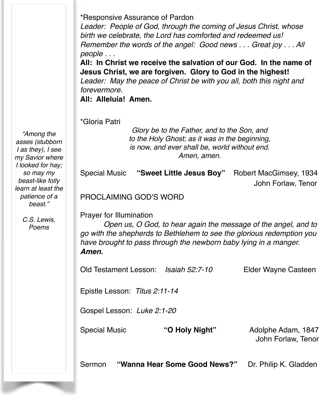\*Responsive Assurance of Pardon

*Leader: People of God, through the coming of Jesus Christ, whose birth we celebrate, the Lord has comforted and redeemed us! Remember the words of the angel: Good news . . . Great joy . . . All people . . .*

**All: In Christ we receive the salvation of our God. In the name of Jesus Christ, we are forgiven. Glory to God in the highest!** *Leader: May the peace of Christ be with you all, both this night and forevermore.*

**All: Alleluia! Amen.**

\*Gloria Patri

*Glory be to the Father, and to the Son, and to the Holy Ghost; as it was in the beginning, is now, and ever shall be, world without end. Amen, amen.*

|                                                                                                                                                                                                                                                        |  | Special Music "Sweet Little Jesus Boy" | Robert MacGimsey, 1934<br>John Forlaw, Tenor |  |
|--------------------------------------------------------------------------------------------------------------------------------------------------------------------------------------------------------------------------------------------------------|--|----------------------------------------|----------------------------------------------|--|
| <b>PROCLAIMING GOD'S WORD</b>                                                                                                                                                                                                                          |  |                                        |                                              |  |
| <b>Prayer for Illumination</b><br>Open us, O God, to hear again the message of the angel, and to<br>go with the shepherds to Bethlehem to see the glorious redemption you<br>have brought to pass through the newborn baby lying in a manger.<br>Amen. |  |                                        |                                              |  |
| Old Testament Lesson: Isaiah 52:7-10                                                                                                                                                                                                                   |  |                                        | Elder Wayne Casteen                          |  |
| Epistle Lesson: Titus 2:11-14                                                                                                                                                                                                                          |  |                                        |                                              |  |
| Gospel Lesson: Luke 2:1-20                                                                                                                                                                                                                             |  |                                        |                                              |  |
| <b>Special Music</b>                                                                                                                                                                                                                                   |  | "O Holy Night"                         | Adolphe Adam, 1847<br>John Forlaw, Tenor     |  |

Sermon **"Wanna Hear Some Good News?"** Dr. Philip K. Gladden

*"Among the asses (stubborn I as they), I see my Savior where I looked for hay; so may my beast-like folly learn at least the patience of a beast."*

> *C.S. Lewis, Poems*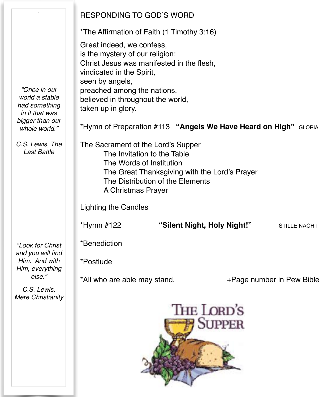|                                       | <b>RESPONDING TO GOD'S WORD</b>                                              |  |  |  |  |
|---------------------------------------|------------------------------------------------------------------------------|--|--|--|--|
|                                       | *The Affirmation of Faith (1 Timothy 3:16)                                   |  |  |  |  |
|                                       | Great indeed, we confess,                                                    |  |  |  |  |
|                                       | is the mystery of our religion:<br>Christ Jesus was manifested in the flesh, |  |  |  |  |
|                                       | vindicated in the Spirit,                                                    |  |  |  |  |
| "Once in our                          | seen by angels,<br>preached among the nations,                               |  |  |  |  |
| world a stable<br>had something       | believed in throughout the world,                                            |  |  |  |  |
| in it that was                        | taken up in glory.                                                           |  |  |  |  |
| bigger than our<br>whole world."      | *Hymn of Preparation #113 "Angels We Have Heard on High" GLORIA              |  |  |  |  |
| C.S. Lewis, The<br><b>Last Battle</b> | The Sacrament of the Lord's Supper                                           |  |  |  |  |
|                                       | The Invitation to the Table<br>The Words of Institution                      |  |  |  |  |
|                                       | The Great Thanksgiving with the Lord's Prayer                                |  |  |  |  |
|                                       | The Distribution of the Elements<br>A Christmas Prayer                       |  |  |  |  |
|                                       | <b>Lighting the Candles</b>                                                  |  |  |  |  |
|                                       | "Silent Night, Holy Night!"<br>*Hymn #122<br><b>STILLE NACHT</b>             |  |  |  |  |
|                                       |                                                                              |  |  |  |  |
| "Look for Christ<br>and you will find | *Benediction                                                                 |  |  |  |  |
| Him. And with<br>Him, everything      | *Postlude                                                                    |  |  |  |  |
| else."                                | *All who are able may stand.<br>+Page number in Pew Bible                    |  |  |  |  |
| C.S. Lewis,<br>Mere Christianity      |                                                                              |  |  |  |  |
|                                       | THE LORD'S                                                                   |  |  |  |  |
|                                       | <b>SUPPER</b>                                                                |  |  |  |  |
|                                       |                                                                              |  |  |  |  |
|                                       |                                                                              |  |  |  |  |
|                                       |                                                                              |  |  |  |  |
|                                       |                                                                              |  |  |  |  |